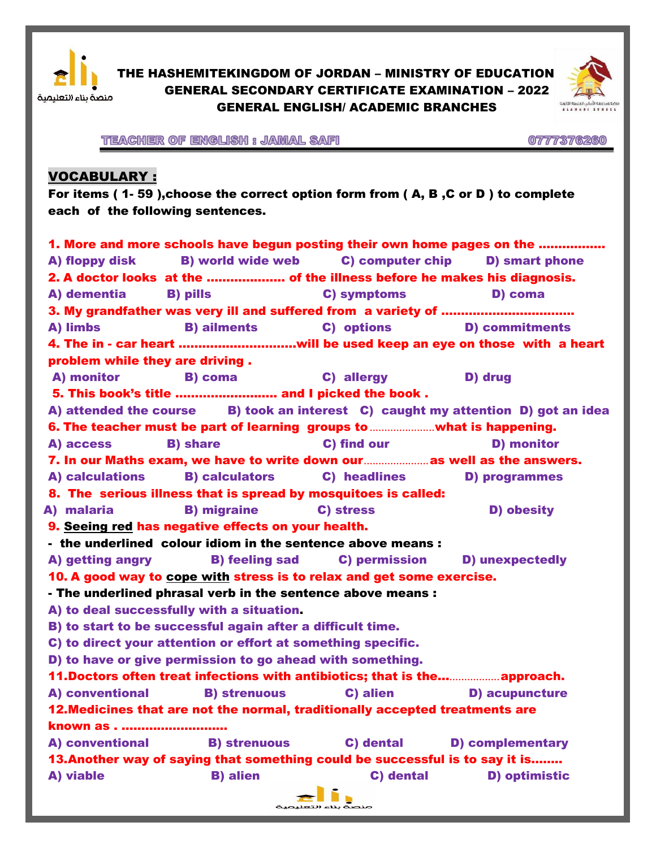

THE HASHEMITEKINGDOM OF JORDAN – MINISTRY OF EDUCATION GENERAL SECONDARY CERTIFICATE EXAMINATION – 2022 GENERAL ENGLISH/ ACADEMIC BRANCHES



TEACHER OF ENGLISH : JAMAL SAFI

0777376260

# VOCABULARY :

For items ( 1- 59 ),choose the correct option form from ( A, B ,C or D ) to complete each of the following sentences.

| 1. More and more schools have begun posting their own home pages on the |                                                                                     |                                                                                                                                                                                                                               |                                                                                  |  |  |  |  |  |  |  |
|-------------------------------------------------------------------------|-------------------------------------------------------------------------------------|-------------------------------------------------------------------------------------------------------------------------------------------------------------------------------------------------------------------------------|----------------------------------------------------------------------------------|--|--|--|--|--|--|--|
| A) floppy disk                                                          |                                                                                     | B) world wide web C) computer chip                                                                                                                                                                                            | <b>D)</b> smart phone                                                            |  |  |  |  |  |  |  |
|                                                                         | 2. A doctor looks at the  of the illness before he makes his diagnosis.             |                                                                                                                                                                                                                               |                                                                                  |  |  |  |  |  |  |  |
| A) dementia                                                             | <b>B)</b> pills                                                                     | C) symptoms                                                                                                                                                                                                                   | D) coma                                                                          |  |  |  |  |  |  |  |
|                                                                         |                                                                                     |                                                                                                                                                                                                                               |                                                                                  |  |  |  |  |  |  |  |
| A) limbs                                                                | <b>B) ailments</b>                                                                  | C) options and the control of the control of the control of the control of the control of the control of the control of the control of the control of the control of the control of the control of the control of the control | <b>D)</b> commitments                                                            |  |  |  |  |  |  |  |
|                                                                         |                                                                                     |                                                                                                                                                                                                                               | 4. The in - car heart …………………………will be used keep an eye on those with a heart   |  |  |  |  |  |  |  |
| problem while they are driving.                                         |                                                                                     |                                                                                                                                                                                                                               |                                                                                  |  |  |  |  |  |  |  |
| A) monitor<br><b>B)</b> coma<br>C) allergy<br>D) drug                   |                                                                                     |                                                                                                                                                                                                                               |                                                                                  |  |  |  |  |  |  |  |
|                                                                         | 5. This book's title  and I picked the book.                                        |                                                                                                                                                                                                                               |                                                                                  |  |  |  |  |  |  |  |
|                                                                         |                                                                                     |                                                                                                                                                                                                                               | A) attended the course B) took an interest C) caught my attention D) got an idea |  |  |  |  |  |  |  |
|                                                                         | 6. The teacher must be part of learning groups to <b>multion</b> what is happening. |                                                                                                                                                                                                                               |                                                                                  |  |  |  |  |  |  |  |
| A) access                                                               | <b>B)</b> share                                                                     | C) find our                                                                                                                                                                                                                   | <b>D)</b> monitor                                                                |  |  |  |  |  |  |  |
|                                                                         | 7. In our Maths exam, we have to write down our…………………as well as the answers.       |                                                                                                                                                                                                                               |                                                                                  |  |  |  |  |  |  |  |
| A) calculations                                                         | <b>B) calculators</b>                                                               | C) headlines                                                                                                                                                                                                                  | <b>D</b> ) programmes                                                            |  |  |  |  |  |  |  |
|                                                                         | 8. The serious illness that is spread by mosquitoes is called:                      |                                                                                                                                                                                                                               |                                                                                  |  |  |  |  |  |  |  |
| A) malaria                                                              | <b>B)</b> migraine                                                                  | C) stress                                                                                                                                                                                                                     | D) obesity                                                                       |  |  |  |  |  |  |  |
|                                                                         | 9. Seeing red has negative effects on your health.                                  |                                                                                                                                                                                                                               |                                                                                  |  |  |  |  |  |  |  |
|                                                                         | - the underlined colour idiom in the sentence above means :                         |                                                                                                                                                                                                                               |                                                                                  |  |  |  |  |  |  |  |
| A) getting angry                                                        | <b>B) feeling sad</b>                                                               | <b>C) permission</b>                                                                                                                                                                                                          | <b>D) unexpectedly</b>                                                           |  |  |  |  |  |  |  |
|                                                                         | 10. A good way to cope with stress is to relax and get some exercise.               |                                                                                                                                                                                                                               |                                                                                  |  |  |  |  |  |  |  |
|                                                                         | - The underlined phrasal verb in the sentence above means :                         |                                                                                                                                                                                                                               |                                                                                  |  |  |  |  |  |  |  |
|                                                                         | A) to deal successfully with a situation.                                           |                                                                                                                                                                                                                               |                                                                                  |  |  |  |  |  |  |  |
|                                                                         | B) to start to be successful again after a difficult time.                          |                                                                                                                                                                                                                               |                                                                                  |  |  |  |  |  |  |  |
|                                                                         | C) to direct your attention or effort at something specific.                        |                                                                                                                                                                                                                               |                                                                                  |  |  |  |  |  |  |  |
|                                                                         | D) to have or give permission to go ahead with something.                           |                                                                                                                                                                                                                               |                                                                                  |  |  |  |  |  |  |  |
|                                                                         | 11. Doctors often treat infections with antibiotics; that is the approach.          |                                                                                                                                                                                                                               |                                                                                  |  |  |  |  |  |  |  |
| A) conventional                                                         | <b>B) strenuous</b>                                                                 | C) alien                                                                                                                                                                                                                      | <b>D) acupuncture</b>                                                            |  |  |  |  |  |  |  |
|                                                                         | 12. Medicines that are not the normal, traditionally accepted treatments are        |                                                                                                                                                                                                                               |                                                                                  |  |  |  |  |  |  |  |
| known as                                                                |                                                                                     |                                                                                                                                                                                                                               |                                                                                  |  |  |  |  |  |  |  |
| A) conventional                                                         | <b>B) strenuous</b>                                                                 | C) dental                                                                                                                                                                                                                     | <b>D) complementary</b>                                                          |  |  |  |  |  |  |  |
|                                                                         | 13. Another way of saying that something could be successful is to say it is        |                                                                                                                                                                                                                               |                                                                                  |  |  |  |  |  |  |  |
| A) viable                                                               | <b>B)</b> alien                                                                     | C) dental                                                                                                                                                                                                                     | <b>D)</b> optimistic                                                             |  |  |  |  |  |  |  |
|                                                                         |                                                                                     |                                                                                                                                                                                                                               |                                                                                  |  |  |  |  |  |  |  |
|                                                                         |                                                                                     |                                                                                                                                                                                                                               |                                                                                  |  |  |  |  |  |  |  |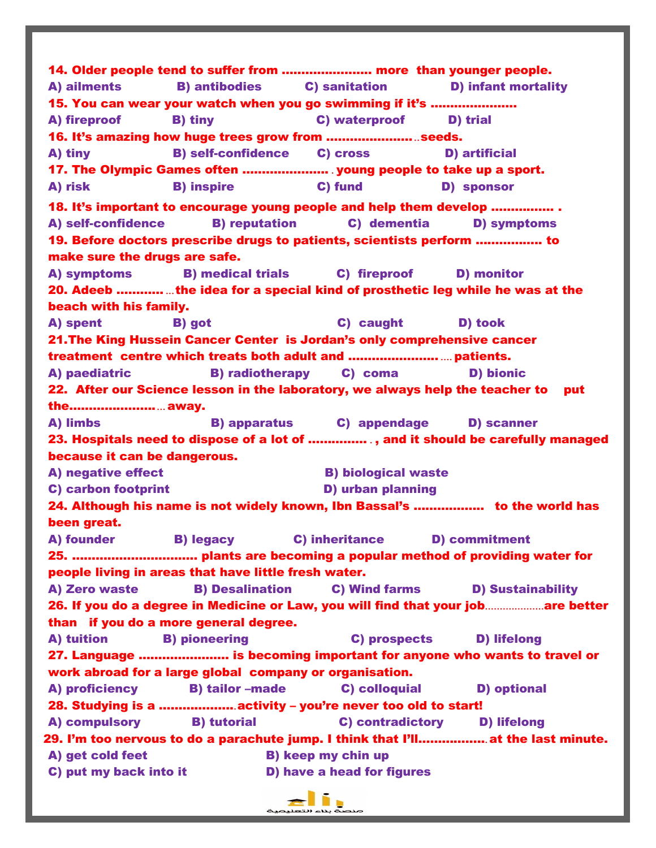14. Older people tend to suffer from ………………….. more than younger people. A) ailments B) antibodies C) sanitation D) infant mortality 15. You can wear your watch when you go swimming if it's ……………….… A) fireproof B) tiny C) waterproof D) trial 16. It's amazing how huge trees grow from …………………...seeds. A) tiny B) self-confidence C) cross D) artificial 17. The Olympic Games often …………………. . young people to take up a sport. A) risk B) inspire C) fund D) sponsor 18. It's important to encourage young people and help them develop ……………. . A) self-confidence B) reputation C) dementia D) symptoms 19. Before doctors prescribe drugs to patients, scientists perform …………….. to make sure the drugs are safe. A) symptoms B) medical trials C) fireproof D) monitor 20. Adeeb …………...the idea for a special kind of prosthetic leg while he was at the beach with his family. A) spent B) got C) caught D) took 21.The King Hussein Cancer Center is Jordan's only comprehensive cancer treatment centre which treats both adult and ………………….. ....patients. A) paediatric B) radiotherapy C) coma D) bionic 22. After our Science lesson in the laboratory, we always help the teacher to put the…………………....away. A) limbs B) apparatus C) appendage D) scanner 23. Hospitals need to dispose of a lot of …………… . , and it should be carefully managed because it can be dangerous. A) negative effect **B**) biological waste C) carbon footprint D) urban planning 24. Although his name is not widely known, Ibn Bassal's ……………... to the world has been great. A) founder B) legacy C) inheritance D) commitment 25. ………………………….. plants are becoming a popular method of providing water for people living in areas that have little fresh water. A) Zero waste B) Desalination C) Wind farms D) Sustainability 26. If you do a degree in Medicine or Law, you will find that your job....................are better than if you do a more general degree. A) tuition B) pioneering C) prospects D) lifelong 27. Language …………….……. is becoming important for anyone who wants to travel or work abroad for a large global company or organisation. A) proficiency B) tailor –made C) colloquial D) optional 28. Studying is a ………………..activity – you're never too old to start! A) compulsory B) tutorial C) contradictory D) lifelong 29. I'm too nervous to do a parachute jump. I think that I'll……………...at the last minute. A) get cold feet B) keep my chin up C) put my back into it **D**) have a head for figures

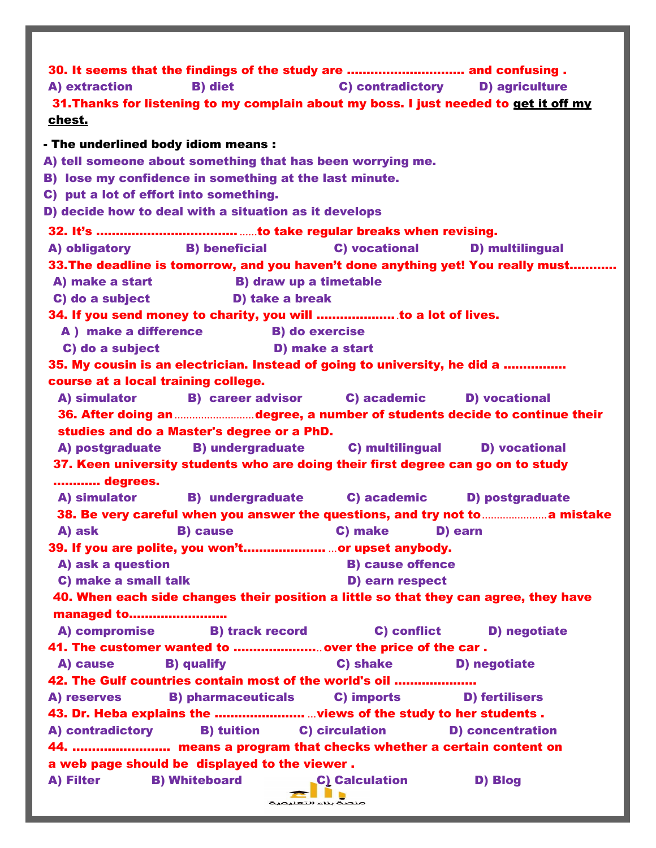| 30. It seems that the findings of the study are  and confusing.<br>C) contradictory D) agriculture<br><b>B)</b> diet<br>A) extraction<br>31. Thanks for listening to my complain about my boss. I just needed to get it off my<br><u>chest.</u> |
|-------------------------------------------------------------------------------------------------------------------------------------------------------------------------------------------------------------------------------------------------|
| - The underlined body idiom means :                                                                                                                                                                                                             |
| A) tell someone about something that has been worrying me.                                                                                                                                                                                      |
| B) lose my confidence in something at the last minute.                                                                                                                                                                                          |
| C) put a lot of effort into something.                                                                                                                                                                                                          |
| D) decide how to deal with a situation as it develops                                                                                                                                                                                           |
|                                                                                                                                                                                                                                                 |
| A) obligatory B) beneficial<br>C) vocational<br><b>D</b> ) multilingual                                                                                                                                                                         |
| 33. The deadline is tomorrow, and you haven't done anything yet! You really must                                                                                                                                                                |
| A) make a start B) draw up a timetable                                                                                                                                                                                                          |
| C) do a subject D) take a break                                                                                                                                                                                                                 |
| 34. If you send money to charity, you will to a lot of lives.                                                                                                                                                                                   |
| A ) make a difference B do exercise                                                                                                                                                                                                             |
| C) do a subject<br>D) make a start                                                                                                                                                                                                              |
| 35. My cousin is an electrician. Instead of going to university, he did a                                                                                                                                                                       |
| course at a local training college.                                                                                                                                                                                                             |
| A) simulator B) career advisor C) academic D) vocational                                                                                                                                                                                        |
| 36. After doing an degree, a number of students decide to continue their                                                                                                                                                                        |
| studies and do a Master's degree or a PhD.                                                                                                                                                                                                      |
| A) postgraduate B) undergraduate C) multilingual D) vocational                                                                                                                                                                                  |
| 37. Keen university students who are doing their first degree can go on to study                                                                                                                                                                |
| degrees.                                                                                                                                                                                                                                        |
| A) simulator B) undergraduate C) academic<br>D) postgraduate                                                                                                                                                                                    |
| 38. Be very careful when you answer the questions, and try not to merrononical mistake                                                                                                                                                          |
| A) ask<br>C) make<br><b>B)</b> cause<br>D) earn                                                                                                                                                                                                 |
| 39. If you are polite, you won'tor upset anybody.                                                                                                                                                                                               |
| A) ask a question<br><b>B) cause offence</b>                                                                                                                                                                                                    |
| C) make a small talk<br>D) earn respect                                                                                                                                                                                                         |
| 40. When each side changes their position a little so that they can agree, they have                                                                                                                                                            |
| managed to                                                                                                                                                                                                                                      |
| <b>B) track record</b><br>C) conflict<br>A) compromise<br>D) negotiate                                                                                                                                                                          |
| 41. The customer wanted to  over the price of the car.                                                                                                                                                                                          |
| C) shake<br><b>B)</b> qualify<br>A) cause<br>D) negotiate                                                                                                                                                                                       |
| 42. The Gulf countries contain most of the world's oil                                                                                                                                                                                          |
| <b>B) pharmaceuticals</b><br>C) imports<br><b>D) fertilisers</b><br>A) reserves                                                                                                                                                                 |
|                                                                                                                                                                                                                                                 |
| <b>B)</b> tuition <b>C)</b> circulation<br>A) contradictory<br><b>D)</b> concentration                                                                                                                                                          |
| 44.  means a program that checks whether a certain content on                                                                                                                                                                                   |
| a web page should be displayed to the viewer.                                                                                                                                                                                                   |
| A) Filter<br><b>B) Whiteboard</b><br><b>C) Calculation</b><br>D) Blog                                                                                                                                                                           |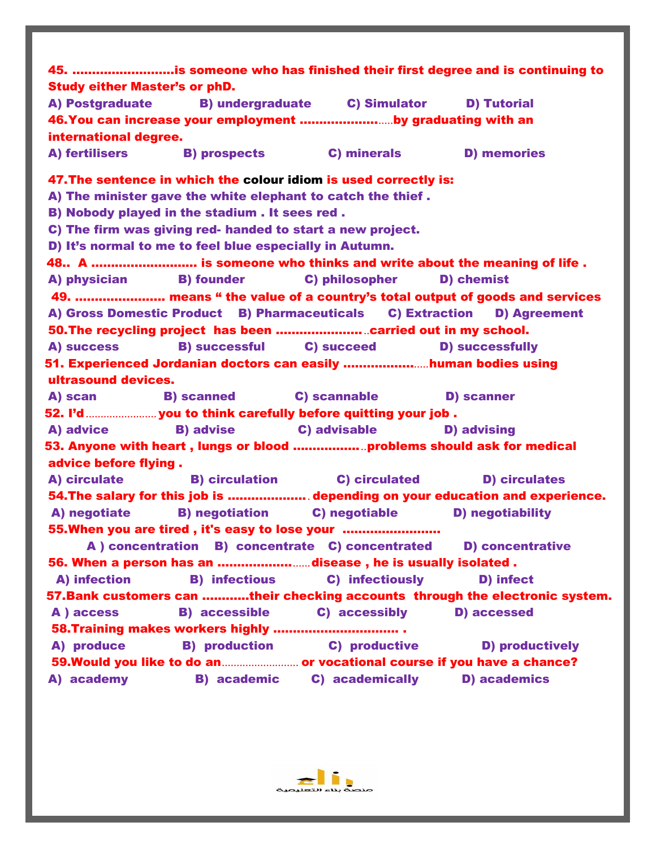|                                      |                                                         |                                                                            | 45. is someone who has finished their first degree and is continuing to       |
|--------------------------------------|---------------------------------------------------------|----------------------------------------------------------------------------|-------------------------------------------------------------------------------|
| <b>Study either Master's or phD.</b> |                                                         |                                                                            |                                                                               |
|                                      |                                                         | A) Postgraduate B) undergraduate C) Simulator                              | <b>D) Tutorial</b>                                                            |
|                                      |                                                         | 46. You can increase your employment by graduating with an                 |                                                                               |
| international degree.                |                                                         |                                                                            |                                                                               |
|                                      |                                                         | A) fertilisers B) prospects C) minerals                                    | <b>D) memories</b>                                                            |
|                                      |                                                         | 47. The sentence in which the colour idiom is used correctly is:           |                                                                               |
|                                      |                                                         | A) The minister gave the white elephant to catch the thief.                |                                                                               |
|                                      | B) Nobody played in the stadium . It sees red .         |                                                                            |                                                                               |
|                                      |                                                         | C) The firm was giving red- handed to start a new project.                 |                                                                               |
|                                      | D) It's normal to me to feel blue especially in Autumn. |                                                                            |                                                                               |
|                                      |                                                         |                                                                            | 48 A  is someone who thinks and write about the meaning of life.              |
|                                      | A) physician B) founder                                 | <b>C) philosopher</b>                                                      | D) chemist                                                                    |
|                                      |                                                         |                                                                            | 49.  means " the value of a country's total output of goods and services      |
|                                      |                                                         |                                                                            | A) Gross Domestic Product B) Pharmaceuticals C) Extraction D) Agreement       |
|                                      |                                                         | 50. The recycling project has been  carried out in my school.              |                                                                               |
| A) success                           |                                                         | <b>B</b> ) successful <b>C</b> ) succeed                                   | <b>D) successfully</b>                                                        |
|                                      |                                                         | 51. Experienced Jordanian doctors can easily human bodies using            |                                                                               |
| ultrasound devices.                  |                                                         |                                                                            |                                                                               |
|                                      |                                                         | A) scan B) scanned C) scannable                                            | <b>D)</b> scanner                                                             |
|                                      |                                                         |                                                                            |                                                                               |
| A) advice                            | <b>B)</b> advise                                        | C) advisable <b>D</b> ) advising                                           |                                                                               |
|                                      |                                                         |                                                                            |                                                                               |
|                                      |                                                         | 53. Anyone with heart,lungs or blood ………………problems should ask for medical |                                                                               |
| advice before flying.                |                                                         |                                                                            |                                                                               |
| A) circulate                         |                                                         | <b>B</b> ) circulation <b>C</b> ) circulated                               | <b>D) circulates</b>                                                          |
|                                      |                                                         |                                                                            | 54. The salary for this job is  depending on your education and experience.   |
| A) negotiate                         |                                                         | <b>B</b> ) negotiation <b>C</b> ) negotiable                               | <b>D)</b> negotiability                                                       |
|                                      |                                                         | 55. When you are tired, it's easy to lose your                             |                                                                               |
|                                      |                                                         | A concentration B) concentrate C) concentrated                             | <b>D)</b> concentrative                                                       |
|                                      |                                                         | 56. When a person has an disease, he is usually isolated.                  |                                                                               |
| A) infection                         | <b>B)</b> infectious                                    | C) infectiously                                                            | D) infect                                                                     |
|                                      |                                                         |                                                                            | 57. Bank customers can their checking accounts through the electronic system. |
| A ) access                           | <b>B)</b> accessible                                    | C) accessibly                                                              | <b>D)</b> accessed                                                            |
|                                      |                                                         |                                                                            |                                                                               |
| A) produce                           | <b>B)</b> production                                    | C) productive                                                              | <b>D) productively</b>                                                        |
|                                      |                                                         |                                                                            | 59. Would you like to do an or vocational course if you have a chance?        |
| A) academy                           | <b>B)</b> academic                                      | C) academically                                                            | <b>D)</b> academics                                                           |
|                                      |                                                         |                                                                            |                                                                               |

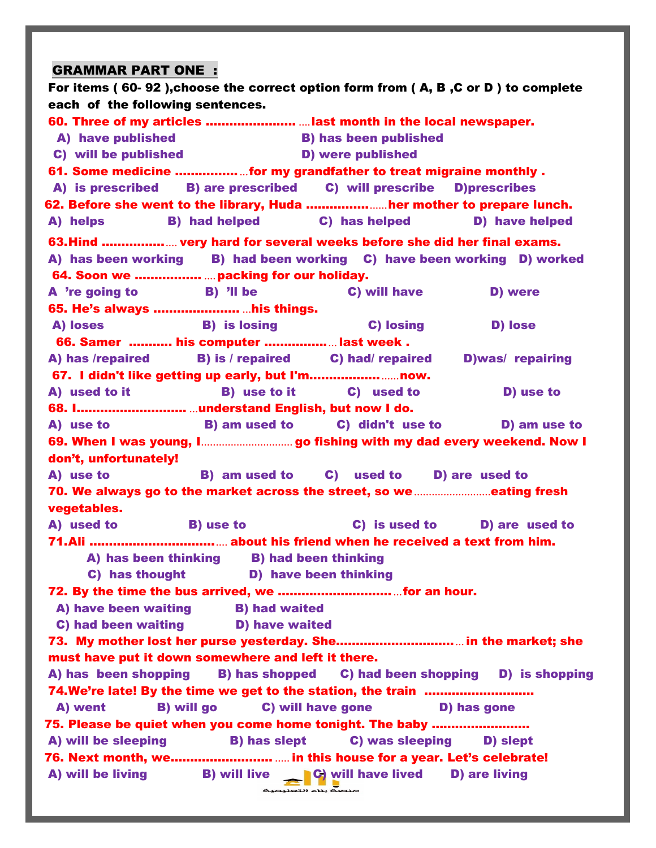### GRAMMAR PART ONE :

For items ( 60- 92 ),choose the correct option form from ( A, B ,C or D ) to complete each of the following sentences. 60. Three of my articles ………………….. ....last month in the local newspaper. A) have published B) has been published C) will be published D) were published 61. Some medicine ……………....for my grandfather to treat migraine monthly . A) is prescribed B) are prescribed C) will prescribe D)prescribes 62. Before she went to the library, Huda …………….......her mother to prepare lunch. A) helps B) had helped C) has helped D) have helped 63.Hind ……………..... very hard for several weeks before she did her final exams. A) has been working B) had been working C) have been working D) worked 64. Soon we …………….. ....packing for our holiday. A 're going to B) 'll be C) will have D) were 65. He's always …………………. ...his things. A) loses B) is losing C) losing D) lose 66. Samer ……….. his computer …………….... last week . A) has /repaired B) is / repaired C) had/ repaired D)was/ repairing 67. I didn't like getting up early, but I'm………………......now. A) used to it B) use to it C) used to D) use to 68. I………………………. ...understand English, but now I do. A) use to B) am used to C) didn't use to D) am use to 69. When I was young, I............................... go fishing with my dad every weekend. Now I don't, unfortunately! A) use to B) am used to C) used to D) are used to 70. We always go to the market across the street, so we..........................eating fresh vegetables. A) used to B) use to C) is used to D) are used to 71.Ali …………………………...... about his friend when he received a text from him. A) has been thinking B) had been thinking C) has thought D) have been thinking 72. By the time the bus arrived, we ……………………….....for an hour. A) have been waiting B) had waited C) had been waiting **D**) have waited 73. My mother lost her purse yesterday. She…………………………...in the market; she must have put it down somewhere and left it there. A) has been shopping B) has shopped C) had been shopping D) is shopping 74.We're late! By the time we get to the station, the train ………………………. A) went B) will go C) will have gone D) has gone 75. Please be quiet when you come home tonight. The baby ……………………. A) will be sleeping B) has slept C) was sleeping D) slept 76. Next month, we…………………….. ..... in this house for a year. Let's celebrate! A) will be living  $\qquad \qquad$  B) will live  $\qquad \qquad \qquad$  C) will have lived D) are living ے اس کے منصوبہ<br>منصہ بناء التعلیمیہ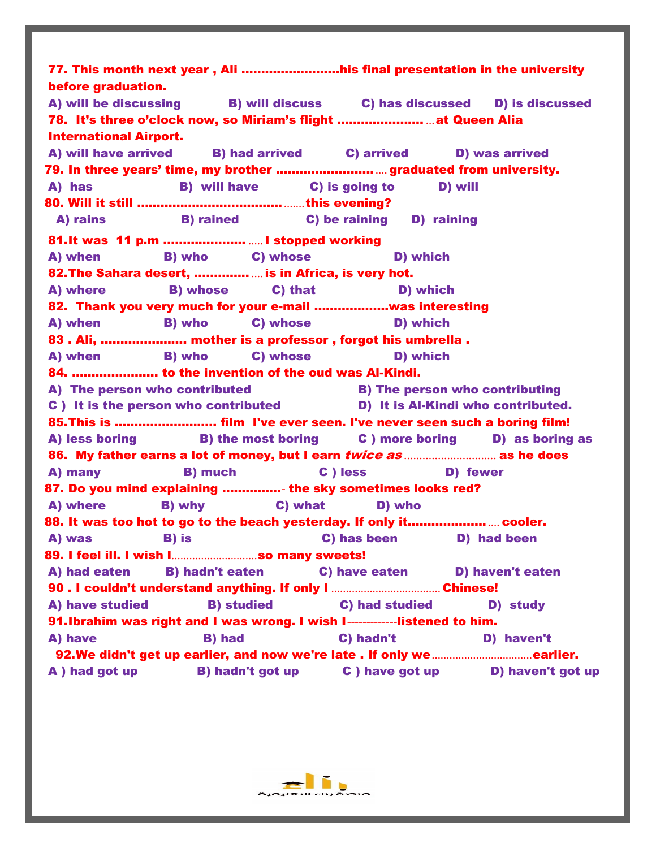77. This month next year , Ali …………………….his final presentation in the university before graduation. A) will be discussing B) will discuss C) has discussed D) is discussed 78. It's three o'clock now, so Miriam's flight …………………. ...at Queen Alia International Airport. A) will have arrived B) had arrived C) arrived D) was arrived 79. In three years' time, my brother ……………………..... graduated from university. A) has B) will have C) is going to D) will 80. Will it still ………………………………........this evening? A) rains B) rained C) be raining D) raining 81.It was 11 p.m ………………… .....I stopped working A) when B) who C) whose D) which 82.The Sahara desert, ………….. ....is in Africa, is very hot. A) where B) whose C) that D) which 82. Thank you very much for your e-mail ……………….was interesting A) when B) who C) whose D) which 83 . Ali, …………………. mother is a professor , forgot his umbrella . A) when B) who C) whose D) which 84. …………………. to the invention of the oud was Al-Kindi. A) The person who contributed B) The person who contributing C ) It is the person who contributed D) It is Al-Kindi who contributed. 85.This is …………………….. film I've ever seen. I've never seen such a boring film! A) less boring **B**) the most boring **C** ) more boring **D**) as boring as 86. My father earns a lot of money, but I earn twice as *..............................* as he does A) many B) much C ) less D) fewer 87. Do you mind explaining ……………- the sky sometimes looks red? A) where B) why C) what D) who 88. It was too hot to go to the beach yesterday. If only it………………...... cooler. A) was B) is C) has been D) had been 89. I feel ill. I wish I.............................so many sweets! A) had eaten B) hadn't eaten C) have eaten D) haven't eaten 90 . I couldn't understand anything. If only I ..................................... Chinese! A) have studied B) studied C) had studied D) study 91.Ibrahim was right and I was wrong. I wish I------------listened to him. A) have B) had C) hadn't D) haven't 92.We didn't get up earlier, and now we're late . If only we..................................earlier. A ) had got up B) hadn't got up C ) have got up D) haven't got up

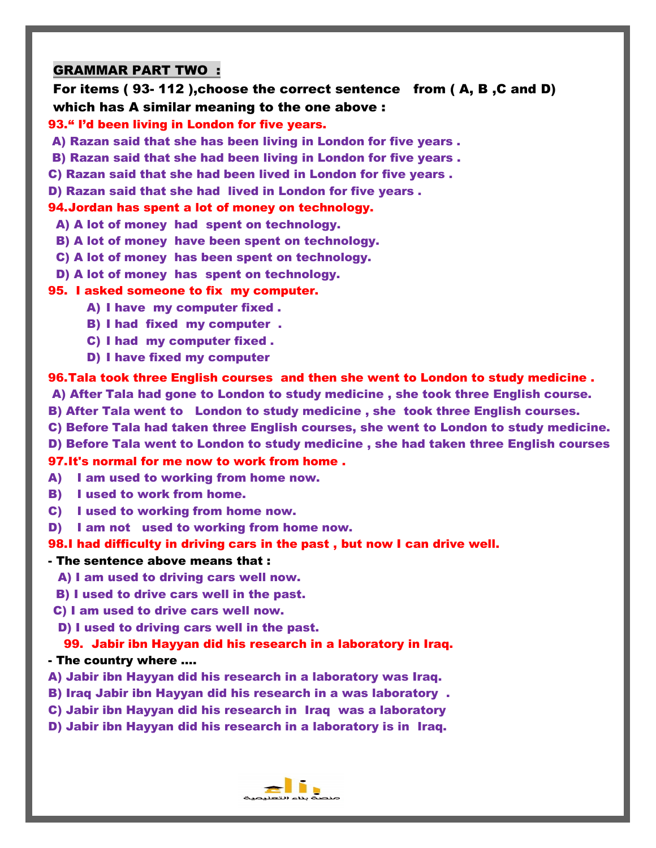## GRAMMAR PART TWO :

For items ( 93- 112 ),choose the correct sentence from ( A, B ,C and D) which has A similar meaning to the one above :

#### 93." I'd been living in London for five years.

A) Razan said that she has been living in London for five years .

B) Razan said that she had been living in London for five years .

C) Razan said that she had been lived in London for five years .

D) Razan said that she had lived in London for five years .

## 94.Jordan has spent a lot of money on technology.

A) A lot of money had spent on technology.

- B) A lot of money have been spent on technology.
- C) A lot of money has been spent on technology.
- D) A lot of money has spent on technology.

#### 95. I asked someone to fix my computer.

- A) I have my computer fixed .
- B) I had fixed my computer .
- C) I had my computer fixed .
- D) I have fixed my computer

96.Tala took three English courses and then she went to London to study medicine .

A) After Tala had gone to London to study medicine , she took three English course.

- B) After Tala went to London to study medicine , she took three English courses.
- C) Before Tala had taken three English courses, she went to London to study medicine.
- D) Before Tala went to London to study medicine , she had taken three English courses

#### 97.It's normal for me now to work from home .

- A) I am used to working from home now.
- B) I used to work from home.
- C) I used to working from home now.
- D) I am not used to working from home now.

#### 98.I had difficulty in driving cars in the past , but now I can drive well.

#### - The sentence above means that :

- A) I am used to driving cars well now.
- B) I used to drive cars well in the past.
- C) I am used to drive cars well now.
- D) I used to driving cars well in the past.

#### 99. Jabir ibn Hayyan did his research in a laboratory in Iraq.

#### - The country where ….

- A) Jabir ibn Hayyan did his research in a laboratory was Iraq.
- B) Iraq Jabir ibn Hayyan did his research in a was laboratory .
- C) Jabir ibn Hayyan did his research in Iraq was a laboratory
- D) Jabir ibn Hayyan did his research in a laboratory is in Iraq.

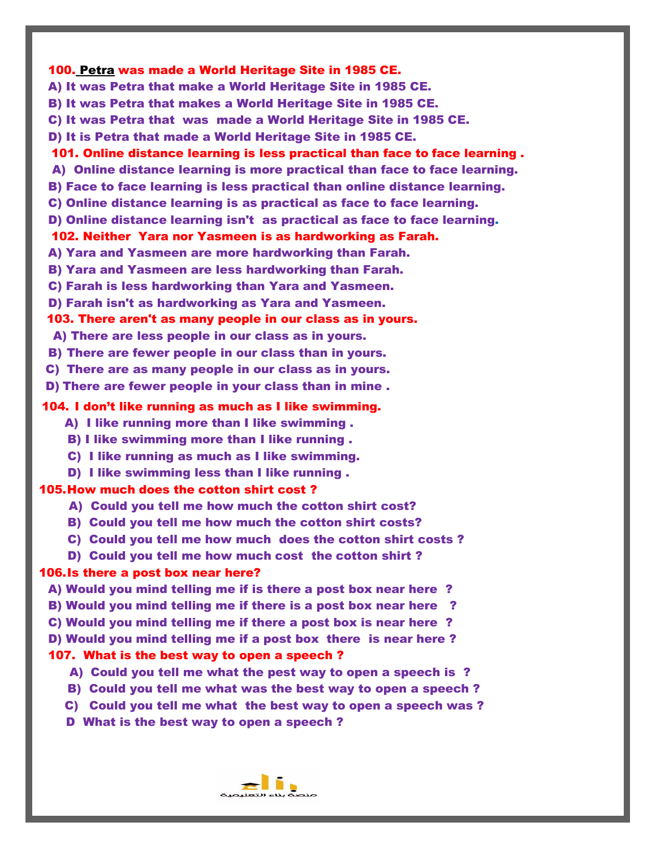# 100. Petra was made a World Heritage Site in 1985 CE. A) It was Petra that make a World Heritage Site in 1985 CE. B) It was Petra that makes a World Heritage Site in 1985 CE. C) It was Petra that was made a World Heritage Site in 1985 CE. D) It is Petra that made a World Heritage Site in 1985 CE. 101. Online distance learning is less practical than face to face learning . A) Online distance learning is more practical than face to face learning. B) Face to face learning is less practical than online distance learning. C) Online distance learning is as practical as face to face learning. D) Online distance learning isn't as practical as face to face learning. 102. Neither Yara nor Yasmeen is as hardworking as Farah. A) Yara and Yasmeen are more hardworking than Farah. B) Yara and Yasmeen are less hardworking than Farah. C) Farah is less hardworking than Yara and Yasmeen. D) Farah isn't as hardworking as Yara and Yasmeen. 103. There aren't as many people in our class as in yours. A) There are less people in our class as in yours. B) There are fewer people in our class than in yours. C) There are as many people in our class as in yours. D) There are fewer people in your class than in mine . 104. I don't like running as much as I like swimming. A) I like running more than I like swimming . B) I like swimming more than I like running . C) I like running as much as I like swimming. D) I like swimming less than I like running . 105.How much does the cotton shirt cost ? A) Could you tell me how much the cotton shirt cost? B) Could you tell me how much the cotton shirt costs? C) Could you tell me how much does the cotton shirt costs ? D) Could you tell me how much cost the cotton shirt ? 106.Is there a post box near here? A) Would you mind telling me if is there a post box near here ? B) Would you mind telling me if there is a post box near here ? C) Would you mind telling me if there a post box is near here ? D) Would you mind telling me if a post box there is near here ? 107. What is the best way to open a speech ? A) Could you tell me what the pest way to open a speech is ? B) Could you tell me what was the best way to open a speech ? C) Could you tell me what the best way to open a speech was ? D What is the best way to open a speech ?

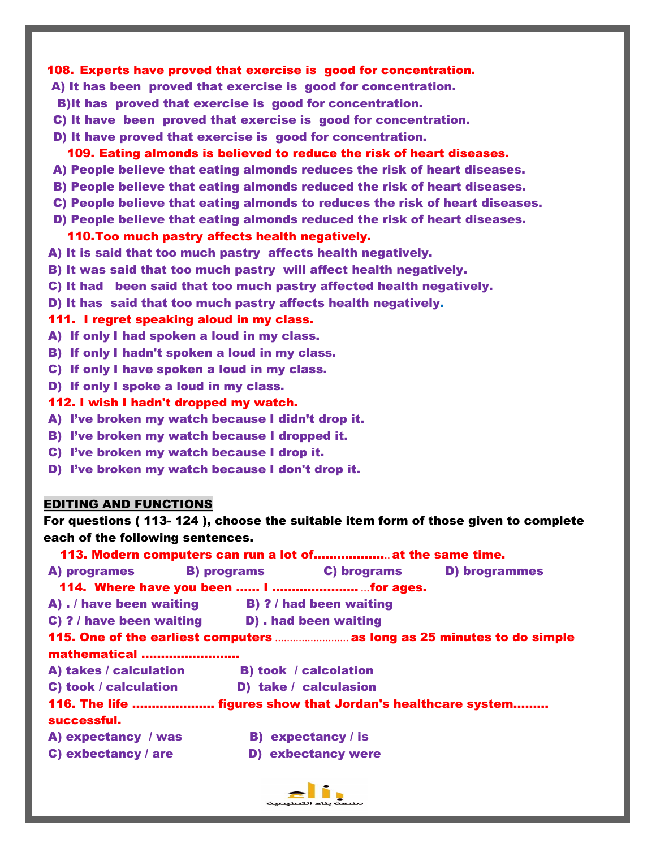### 108. Experts have proved that exercise is good for concentration.

- A) It has been proved that exercise is good for concentration.
- B)It has proved that exercise is good for concentration.
- C) It have been proved that exercise is good for concentration.
- D) It have proved that exercise is good for concentration.

#### 109. Eating almonds is believed to reduce the risk of heart diseases.

- A) People believe that eating almonds reduces the risk of heart diseases.
- B) People believe that eating almonds reduced the risk of heart diseases.
- C) People believe that eating almonds to reduces the risk of heart diseases.
- D) People believe that eating almonds reduced the risk of heart diseases.

#### 110.Too much pastry affects health negatively.

- A) It is said that too much pastry affects health negatively.
- B) It was said that too much pastry will affect health negatively.
- C) It had been said that too much pastry affected health negatively.
- D) It has said that too much pastry affects health negatively.

#### 111. I regret speaking aloud in my class.

- A) If only I had spoken a loud in my class.
- B) If only I hadn't spoken a loud in my class.
- C) If only I have spoken a loud in my class.
- D) If only I spoke a loud in my class.
- 112. I wish I hadn't dropped my watch.
- A) I've broken my watch because I didn't drop it.
- B) I've broken my watch because I dropped it.
- C) I've broken my watch because I drop it.
- D) I've broken my watch because I don't drop it.

#### EDITING AND FUNCTIONS

For questions ( 113- 124 ), choose the suitable item form of those given to complete each of the following sentences.

| 113. Modern computers can run a lot of at the same time.    |                              |                                                                        |
|-------------------------------------------------------------|------------------------------|------------------------------------------------------------------------|
| A) programes B) programs C) brograms D) brogrammes          |                              |                                                                        |
|                                                             |                              |                                                                        |
| $A)$ . / have been waiting $B)$ ? / had been waiting        |                              |                                                                        |
| C) ? / have been waiting D) . had been waiting              |                              |                                                                        |
|                                                             |                              | 115. One of the earliest computers  as long as 25 minutes to do simple |
| mathematical                                                |                              |                                                                        |
| A) takes / calculation                                      | <b>B) took / calcolation</b> |                                                                        |
| C) took / calculation                                       | D) take / calculasion        |                                                                        |
| 116. The life  figures show that Jordan's healthcare system |                              |                                                                        |
| successful.                                                 |                              |                                                                        |
| A) expectancy / was                                         | <b>B)</b> expectancy / is    |                                                                        |
| C) exbectancy $/$ are                                       | <b>D) exbectancy were</b>    |                                                                        |

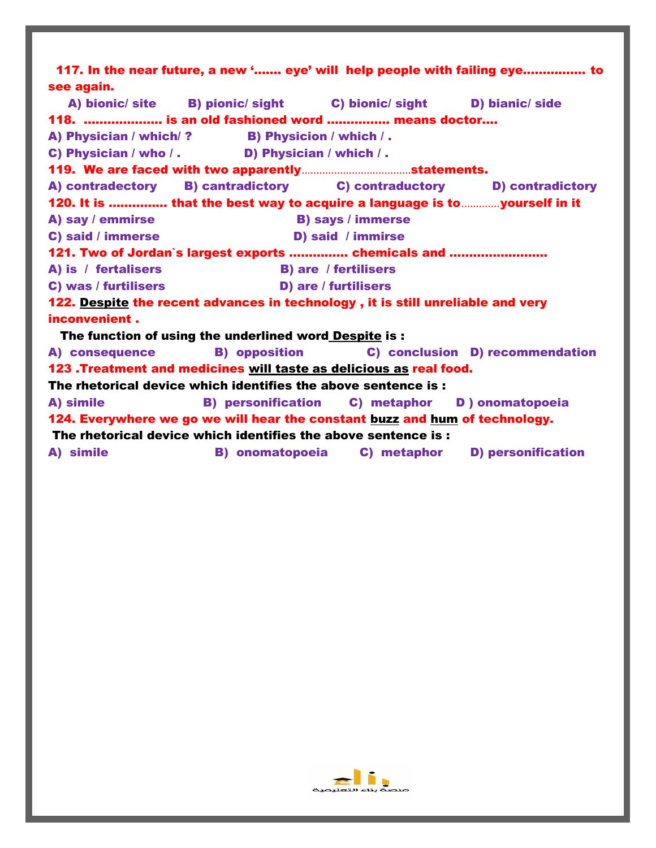| see again.                                                               |                                                                                 |                                                | 117. In the near future, a new ' eye' will help people with failing eye to |  |  |  |  |  |  |  |
|--------------------------------------------------------------------------|---------------------------------------------------------------------------------|------------------------------------------------|----------------------------------------------------------------------------|--|--|--|--|--|--|--|
|                                                                          | A) bionic/ site B) pionic/ sight C) bionic/ sight D) bianic/ side               |                                                |                                                                            |  |  |  |  |  |  |  |
|                                                                          | 118.  is an old fashioned word  means doctor                                    |                                                |                                                                            |  |  |  |  |  |  |  |
|                                                                          | A) Physician / which/ ? B) Physicion / which /.                                 |                                                |                                                                            |  |  |  |  |  |  |  |
|                                                                          | C) Physician / who / . D) Physician / which / .                                 |                                                |                                                                            |  |  |  |  |  |  |  |
|                                                                          |                                                                                 |                                                |                                                                            |  |  |  |  |  |  |  |
|                                                                          | A) contradectory B) cantradictory C) contraductory D) contradictory             |                                                |                                                                            |  |  |  |  |  |  |  |
|                                                                          | 120. It is  that the best way to acquire a language is to yourself in it        |                                                |                                                                            |  |  |  |  |  |  |  |
| A) say / emmirse<br><b>B)</b> says / immerse<br><b>D)</b> said / immirse |                                                                                 |                                                |                                                                            |  |  |  |  |  |  |  |
| C) said / immerse                                                        |                                                                                 |                                                |                                                                            |  |  |  |  |  |  |  |
|                                                                          | 121. Two of Jordan's largest exports  chemicals and                             |                                                |                                                                            |  |  |  |  |  |  |  |
| A) is / fertalisers                                                      | <b>B)</b> are / fertilisers                                                     |                                                |                                                                            |  |  |  |  |  |  |  |
| C) was / furtilisers                                                     |                                                                                 | D) are / furtilisers                           |                                                                            |  |  |  |  |  |  |  |
|                                                                          | 122. Despite the recent advances in technology, it is still unreliable and very |                                                |                                                                            |  |  |  |  |  |  |  |
| inconvenient.                                                            |                                                                                 |                                                |                                                                            |  |  |  |  |  |  |  |
|                                                                          | The function of using the underlined word Despite is :                          |                                                |                                                                            |  |  |  |  |  |  |  |
|                                                                          | A) consequence B) opposition                                                    |                                                | C) conclusion D) recommendation                                            |  |  |  |  |  |  |  |
|                                                                          | 123 .Treatment and medicines will taste as delicious as real food.              |                                                |                                                                            |  |  |  |  |  |  |  |
| The rhetorical device which identifies the above sentence is:            |                                                                                 |                                                |                                                                            |  |  |  |  |  |  |  |
| A) simile                                                                |                                                                                 | B) personification C) metaphor D) onomatopoeia |                                                                            |  |  |  |  |  |  |  |
|                                                                          | 124. Everywhere we go we will hear the constant buzz and hum of technology.     |                                                |                                                                            |  |  |  |  |  |  |  |
| The rhetorical device which identifies the above sentence is :           |                                                                                 |                                                |                                                                            |  |  |  |  |  |  |  |
| A) simile                                                                |                                                                                 |                                                | B) onomatopoeia C) metaphor D) personification                             |  |  |  |  |  |  |  |

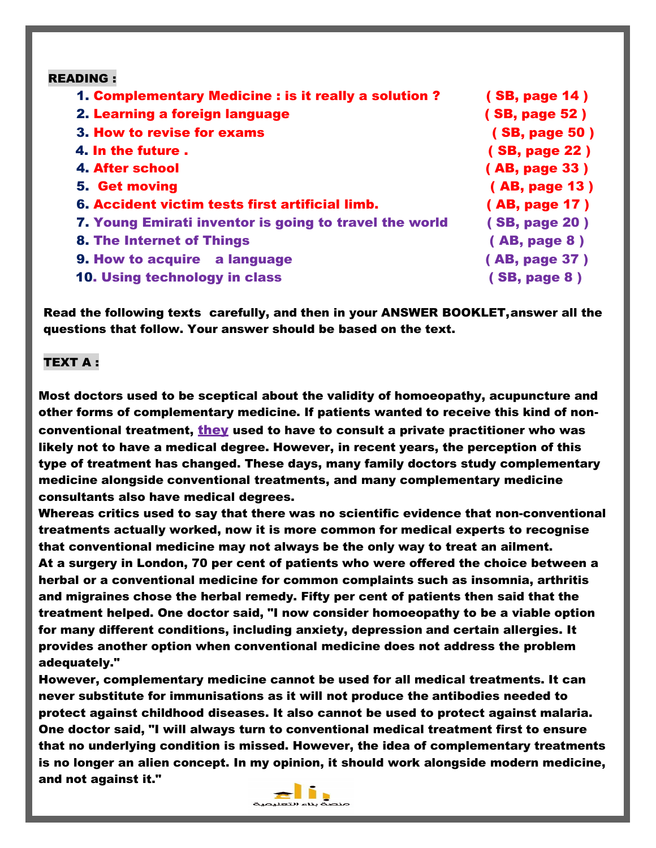| <b>READING:</b>                                        |               |
|--------------------------------------------------------|---------------|
| 1. Complementary Medicine : is it really a solution?   | (SB, page 14) |
| 2. Learning a foreign language                         | (SB, page 52) |
| 3. How to revise for exams                             | (SB, page 50) |
| 4. In the future.                                      | (SB, page 22) |
| 4. After school                                        | (AB, page 33) |
| <b>5. Get moving</b>                                   | (AB, page 13) |
| 6. Accident victim tests first artificial limb.        | (AB, page 17) |
| 7. Young Emirati inventor is going to travel the world | (SB, page 20) |
| <b>8. The Internet of Things</b>                       | (AB, page 8)  |
| 9. How to acquire a language                           | (AB, page 37) |
| 10. Using technology in class                          | (SB, page 8)  |
|                                                        |               |

Read the following texts carefully, and then in your ANSWER BOOKLET,answer all the questions that follow. Your answer should be based on the text.

### TEXT A :

Most doctors used to be sceptical about the validity of homoeopathy, acupuncture and other forms of complementary medicine. If patients wanted to receive this kind of nonconventional treatment, they used to have to consult a private practitioner who was likely not to have a medical degree. However, in recent years, the perception of this type of treatment has changed. These days, many family doctors study complementary medicine alongside conventional treatments, and many complementary medicine consultants also have medical degrees.

Whereas critics used to say that there was no scientific evidence that non-conventional treatments actually worked, now it is more common for medical experts to recognise that conventional medicine may not always be the only way to treat an ailment. At a surgery in London, 70 per cent of patients who were offered the choice between a herbal or a conventional medicine for common complaints such as insomnia, arthritis and migraines chose the herbal remedy. Fifty per cent of patients then said that the treatment helped. One doctor said, "I now consider homoeopathy to be a viable option for many different conditions, including anxiety, depression and certain allergies. It provides another option when conventional medicine does not address the problem adequately."

However, complementary medicine cannot be used for all medical treatments. It can never substitute for immunisations as it will not produce the antibodies needed to protect against childhood diseases. It also cannot be used to protect against malaria. One doctor said, "I will always turn to conventional medical treatment first to ensure that no underlying condition is missed. However, the idea of complementary treatments is no longer an alien concept. In my opinion, it should work alongside modern medicine, and not against it."

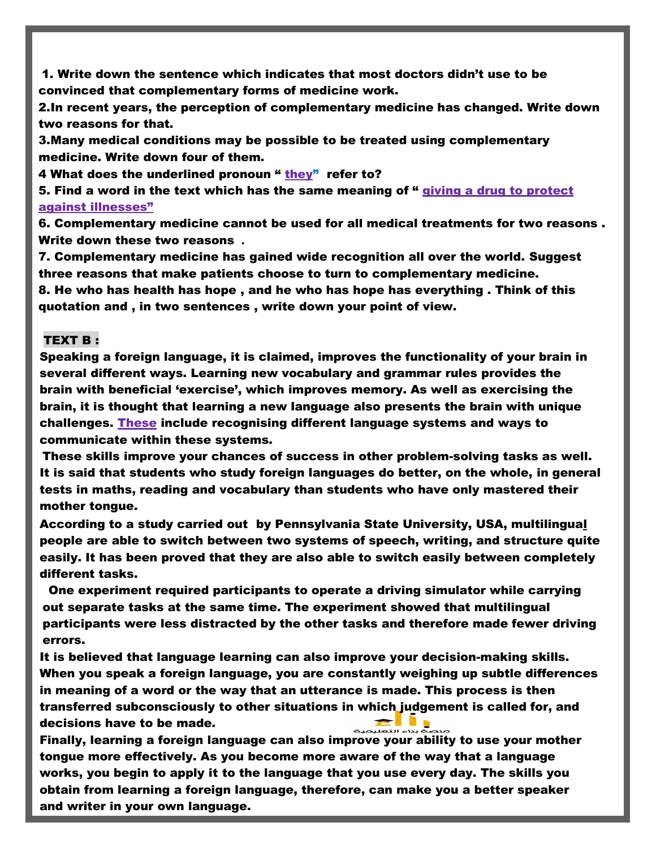1. Write down the sentence which indicates that most doctors didn't use to be convinced that complementary forms of medicine work.

2.In recent years, the perception of complementary medicine has changed. Write down two reasons for that.

3.Many medical conditions may be possible to be treated using complementary medicine. Write down four of them.

4 What does the underlined pronoun " they" refer to?

5. Find a word in the text which has the same meaning of " giving a drug to protect against illnesses"

6. Complementary medicine cannot be used for all medical treatments for two reasons . Write down these two reasons **.**

7. Complementary medicine has gained wide recognition all over the world. Suggest three reasons that make patients choose to turn to complementary medicine.

8. He who has health has hope , and he who has hope has everything . Think of this quotation and , in two sentences , write down your point of view.

#### TEXT B :

Speaking a foreign language, it is claimed, improves the functionality of your brain in several different ways. Learning new vocabulary and grammar rules provides the brain with beneficial 'exercise', which improves memory. As well as exercising the brain, it is thought that learning a new language also presents the brain with unique challenges. These include recognising different language systems and ways to communicate within these systems.

These skills improve your chances of success in other problem-solving tasks as well. It is said that students who study foreign languages do better, on the whole, in general tests in maths, reading and vocabulary than students who have only mastered their mother tongue.

According to a study carried out by Pennsylvania State University, USA, multilingual people are able to switch between two systems of speech, writing, and structure quite easily. It has been proved that they are also able to switch easily between completely different tasks.

One experiment required participants to operate a driving simulator while carrying out separate tasks at the same time. The experiment showed that multilingual participants were less distracted by the other tasks and therefore made fewer driving errors.

It is believed that language learning can also improve your decision-making skills. When you speak a foreign language, you are constantly weighing up subtle differences in meaning of a word or the way that an utterance is made. This process is then transferred subconsciously to other situations in which judgement is called for, and decisions have to be made.

Finally, learning a foreign language can also improve your ability to use your mother tongue more effectively. As you become more aware of the way that a language works, you begin to apply it to the language that you use every day. The skills you obtain from learning a foreign language, therefore, can make you a better speaker and writer in your own language.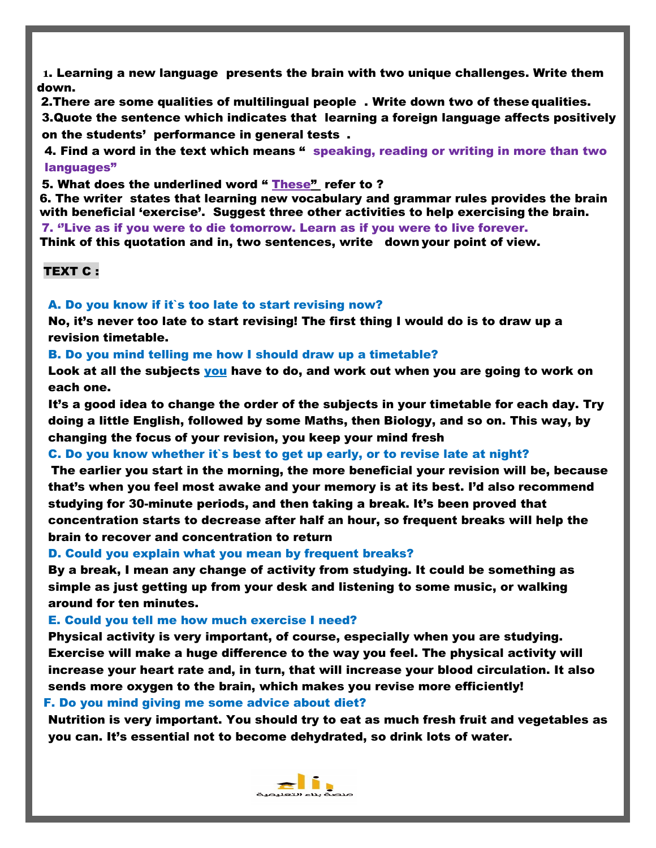**1**. Learning a new language presents the brain with two unique challenges. Write them down.

2.There are some qualities of multilingual people . Write down two of these qualities.

3.Quote the sentence which indicates that learning a foreign language affects positively on the students' performance in general tests .

4. Find a word in the text which means " speaking, reading or writing in more than two languages"

5. What does the underlined word " These" refer to ?

6. The writer states that learning new vocabulary and grammar rules provides the brain with beneficial 'exercise'. Suggest three other activities to help exercising the brain. 7. ''Live as if you were to die tomorrow. Learn as if you were to live forever. Think of this quotation and in, two sentences, write down your point of view.

TEXT C :

#### A. Do you know if it`s too late to start revising now?

No, it's never too late to start revising! The first thing I would do is to draw up a revision timetable.

B. Do you mind telling me how I should draw up a timetable?

Look at all the subjects you have to do, and work out when you are going to work on each one.

It's a good idea to change the order of the subjects in your timetable for each day. Try doing a little English, followed by some Maths, then Biology, and so on. This way, by changing the focus of your revision, you keep your mind fresh

#### C. Do you know whether it`s best to get up early, or to revise late at night?

The earlier you start in the morning, the more beneficial your revision will be, because that's when you feel most awake and your memory is at its best. I'd also recommend studying for 30-minute periods, and then taking a break. It's been proved that concentration starts to decrease after half an hour, so frequent breaks will help the brain to recover and concentration to return

D. Could you explain what you mean by frequent breaks?

By a break, I mean any change of activity from studying. It could be something as simple as just getting up from your desk and listening to some music, or walking around for ten minutes.

#### E. Could you tell me how much exercise I need?

Physical activity is very important, of course, especially when you are studying. Exercise will make a huge difference to the way you feel. The physical activity will increase your heart rate and, in turn, that will increase your blood circulation. It also sends more oxygen to the brain, which makes you revise more efficiently!

#### F. Do you mind giving me some advice about diet?

Nutrition is very important. You should try to eat as much fresh fruit and vegetables as you can. It's essential not to become dehydrated, so drink lots of water.

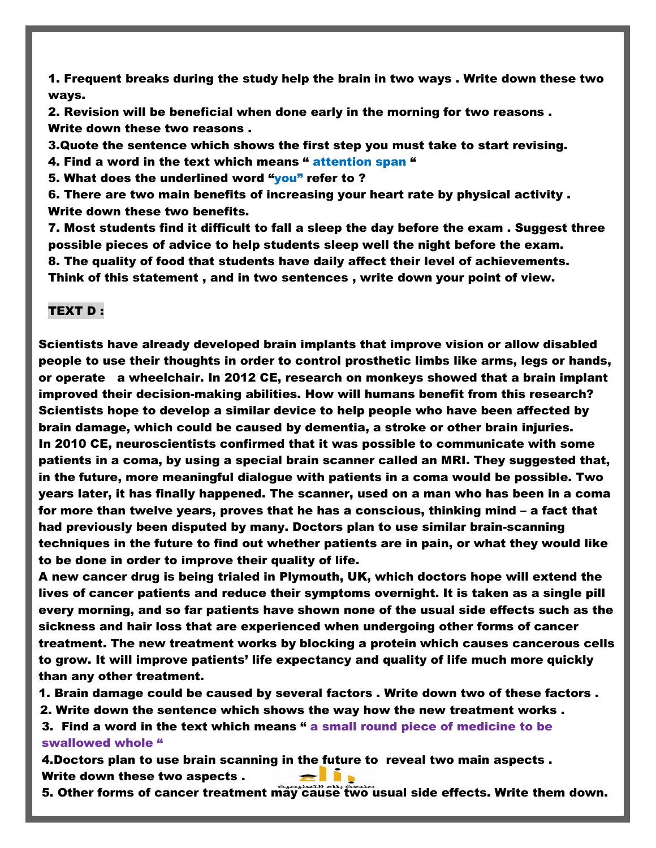1. Frequent breaks during the study help the brain in two ways . Write down these two ways.

2. Revision will be beneficial when done early in the morning for two reasons . Write down these two reasons .

3.Quote the sentence which shows the first step you must take to start revising.

4. Find a word in the text which means " attention span "

5. What does the underlined word "vou" refer to ?

6. There are two main benefits of increasing your heart rate by physical activity . Write down these two benefits.

7. Most students find it difficult to fall a sleep the day before the exam . Suggest three possible pieces of advice to help students sleep well the night before the exam. 8. The quality of food that students have daily affect their level of achievements. Think of this statement , and in two sentences , write down your point of view.

#### TEXT D :

Scientists have already developed brain implants that improve vision or allow disabled people to use their thoughts in order to control prosthetic limbs like arms, legs or hands, or operate a wheelchair. In 2012 CE, research on monkeys showed that a brain implant improved their decision-making abilities. How will humans benefit from this research? Scientists hope to develop a similar device to help people who have been affected by brain damage, which could be caused by dementia, a stroke or other brain injuries. In 2010 CE, neuroscientists confirmed that it was possible to communicate with some patients in a coma, by using a special brain scanner called an MRI. They suggested that, in the future, more meaningful dialogue with patients in a coma would be possible. Two years later, it has finally happened. The scanner, used on a man who has been in a coma for more than twelve years, proves that he has a conscious, thinking mind – a fact that had previously been disputed by many. Doctors plan to use similar brain-scanning techniques in the future to find out whether patients are in pain, or what they would like to be done in order to improve their quality of life.

A new cancer drug is being trialed in Plymouth, UK, which doctors hope will extend the lives of cancer patients and reduce their symptoms overnight. It is taken as a single pill every morning, and so far patients have shown none of the usual side effects such as the sickness and hair loss that are experienced when undergoing other forms of cancer treatment. The new treatment works by blocking a protein which causes cancerous cells to grow. It will improve patients' life expectancy and quality of life much more quickly than any other treatment.

1. Brain damage could be caused by several factors . Write down two of these factors .

2. Write down the sentence which shows the way how the new treatment works .

3. Find a word in the text which means " a small round piece of medicine to be swallowed whole "

4.Doctors plan to use brain scanning in the future to reveal two main aspects . Write down these two aspects .

5. Other forms of cancer treatment may cause two usual side effects. Write them down.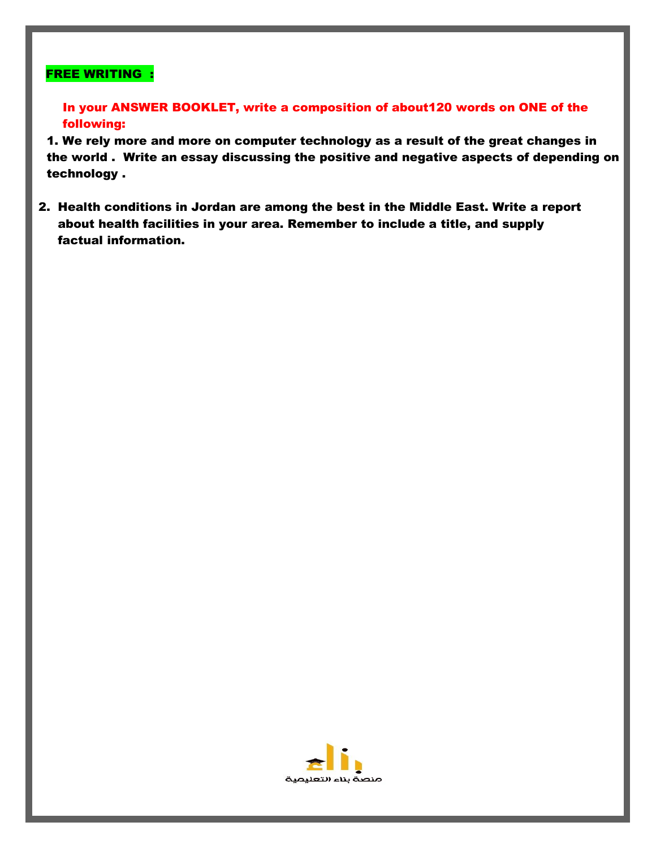## FREE WRITING :

In your ANSWER BOOKLET, write a composition of about120 words on ONE of the following:

1. We rely more and more on computer technology as a result of the great changes in the world . Write an essay discussing the positive and negative aspects of depending on technology .

2. Health conditions in Jordan are among the best in the Middle East. Write a report about health facilities in your area. Remember to include a title, and supply factual information.

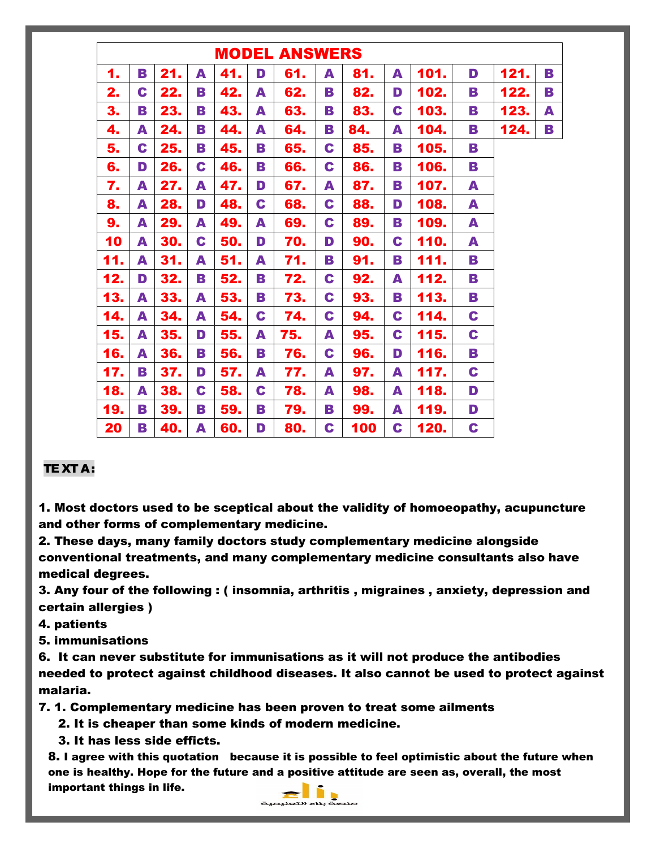| <b>MODEL ANSWERS</b> |   |     |   |     |   |     |   |     |   |      |   |      |   |
|----------------------|---|-----|---|-----|---|-----|---|-----|---|------|---|------|---|
| 1.                   | В | 21. | A | 41. | D | 61. | A | 81. | A | 101. | D | 121. | В |
| 2.                   | C | 22. | В | 42. | A | 62. | В | 82. | D | 102. | В | 122. | В |
| 3.                   | В | 23. | В | 43. | A | 63. | В | 83. | C | 103. | В | 123. | A |
| 4.                   | A | 24. | В | 44. | A | 64. | В | 84. | A | 104. | В | 124. | В |
| 5.                   | C | 25. | В | 45. | В | 65. | C | 85. | В | 105. | В |      |   |
| 6.                   | D | 26. | C | 46. | B | 66. | C | 86. | B | 106. | В |      |   |
| 7.                   | A | 27. | A | 47. | D | 67. | A | 87. | В | 107. | A |      |   |
| 8.                   | A | 28. | D | 48. | C | 68. | C | 88. | D | 108. | A |      |   |
| 9.                   | A | 29. | A | 49. | A | 69. | C | 89. | B | 109. | A |      |   |
| 10                   | A | 30. | C | 50. | D | 70. | D | 90. | C | 110. | A |      |   |
| 11.                  | A | 31. | A | 51. | A | 71. | В | 91. | B | 111. | В |      |   |
| 12.                  | D | 32. | В | 52. | В | 72. | C | 92. | A | 112. | В |      |   |
| 13.                  | A | 33. | A | 53. | В | 73. | C | 93. | B | 113. | В |      |   |
| 14.                  | A | 34. | A | 54. | C | 74. | C | 94. | C | 114. | C |      |   |
| 15.                  | A | 35. | D | 55. | A | 75. | A | 95. | C | 115. | C |      |   |
| 16.                  | A | 36. | В | 56. | В | 76. | C | 96. | D | 116. | B |      |   |
| 17.                  | B | 37. | D | 57. | A | 77. | A | 97. | A | 117. | C |      |   |
| 18.                  | A | 38. | C | 58. | C | 78. | A | 98. | A | 118. | D |      |   |
| 19.                  | В | 39. | В | 59. | В | 79. | В | 99. | A | 119. | D |      |   |
| 20                   | В | 40. | A | 60. | D | 80. | C | 100 | C | 120. | C |      |   |

## TE XT A:

1. Most doctors used to be sceptical about the validity of homoeopathy, acupuncture and other forms of complementary medicine.

2. These days, many family doctors study complementary medicine alongside conventional treatments, and many complementary medicine consultants also have medical degrees.

3. Any four of the following : ( insomnia, arthritis , migraines , anxiety, depression and certain allergies )

4. patients

5. immunisations

6. It can never substitute for immunisations as it will not produce the antibodies needed to protect against childhood diseases. It also cannot be used to protect against malaria.

7. 1. Complementary medicine has been proven to treat some ailments

- 2. It is cheaper than some kinds of modern medicine.
- 3. It has less side efficts.

8. I agree with this quotation because it is possible to feel optimistic about the future when one is healthy. Hope for the future and a positive attitude are seen as, overall, the most important things in life.

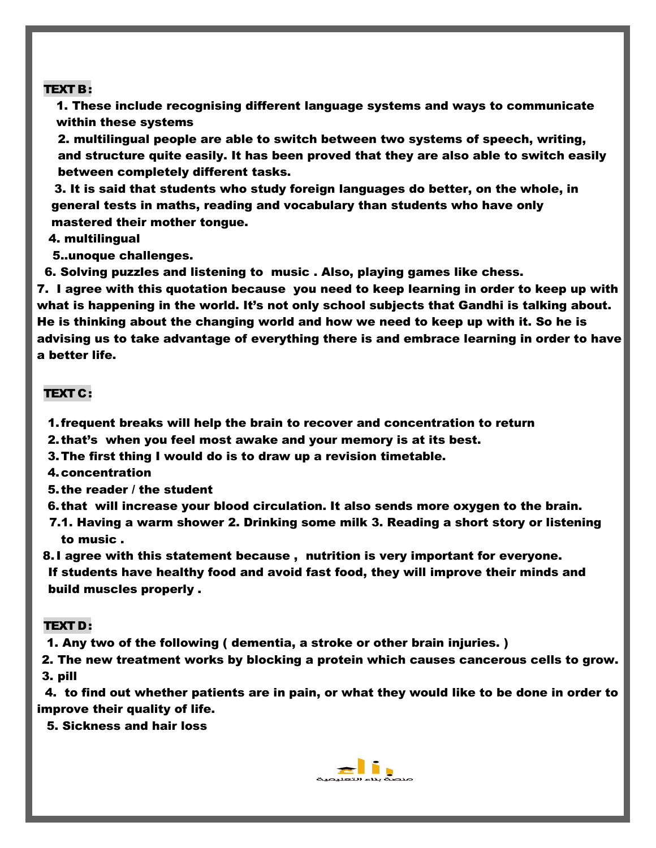#### TEXT B:

1. These include recognising different language systems and ways to communicate within these systems

2. multilingual people are able to switch between two systems of speech, writing, and structure quite easily. It has been proved that they are also able to switch easily between completely different tasks.

3. It is said that students who study foreign languages do better, on the whole, in general tests in maths, reading and vocabulary than students who have only mastered their mother tongue.

4. multilingual

5..unoque challenges.

6. Solving puzzles and listening to music . Also, playing games like chess.

7. I agree with this quotation because you need to keep learning in order to keep up with what is happening in the world. It's not only school subjects that Gandhi is talking about. He is thinking about the changing world and how we need to keep up with it. So he is advising us to take advantage of everything there is and embrace learning in order to have a better life.

#### TEXT C:

- 1.frequent breaks will help the brain to recover and concentration to return
- 2. that's when you feel most awake and your memory is at its best.
- 3.The first thing I would do is to draw up a revision timetable.
- 4.concentration
- 5. the reader / the student
- 6. that will increase your blood circulation. It also sends more oxygen to the brain.
- 7.1. Having a warm shower 2. Drinking some milk 3. Reading a short story or listening to music .

8.I agree with this statement because , nutrition is very important for everyone. If students have healthy food and avoid fast food, they will improve their minds and build muscles properly .

#### TEXT D:

1. Any two of the following ( dementia, a stroke or other brain injuries. )

2. The new treatment works by blocking a protein which causes cancerous cells to grow. 3. pill

 4. to find out whether patients are in pain, or what they would like to be done in order to improve their quality of life.

5. Sickness and hair loss